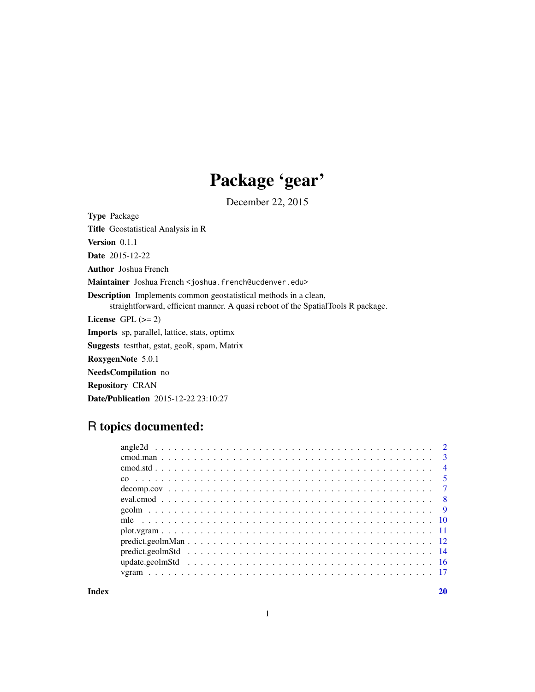## Package 'gear'

December 22, 2015

<span id="page-0-0"></span>Type Package Title Geostatistical Analysis in R Version 0.1.1 Date 2015-12-22 Author Joshua French Maintainer Joshua French <joshua.french@ucdenver.edu> Description Implements common geostatistical methods in a clean, straightforward, efficient manner. A quasi reboot of the SpatialTools R package. License GPL  $(>= 2)$ Imports sp, parallel, lattice, stats, optimx Suggests testthat, gstat, geoR, spam, Matrix RoxygenNote 5.0.1 NeedsCompilation no Repository CRAN Date/Publication 2015-12-22 23:10:27

## R topics documented:

| $\overline{4}$ |
|----------------|
|                |
|                |
|                |
|                |
|                |
|                |
|                |
|                |
|                |
|                |
|                |

 $\bf 1$ ndex  $\bf 20$  $\bf 20$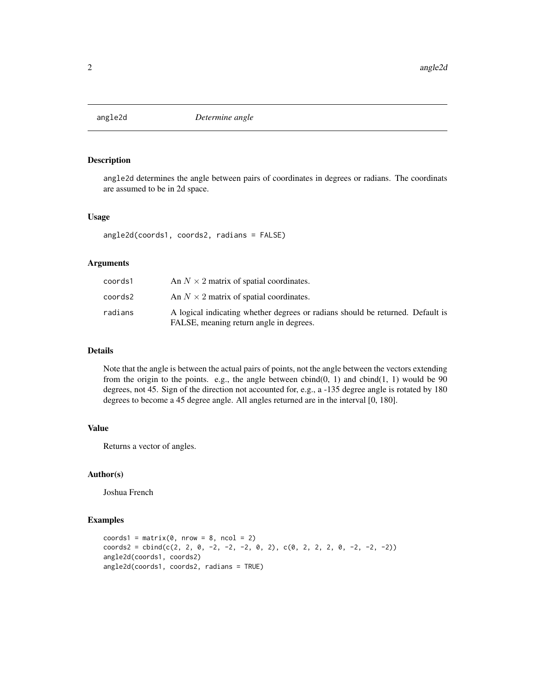<span id="page-1-0"></span>

angle2d determines the angle between pairs of coordinates in degrees or radians. The coordinats are assumed to be in 2d space.

#### Usage

```
angle2d(coords1, coords2, radians = FALSE)
```
#### Arguments

| coords1 | An $N \times 2$ matrix of spatial coordinates.                                                                            |
|---------|---------------------------------------------------------------------------------------------------------------------------|
| coords2 | An $N \times 2$ matrix of spatial coordinates.                                                                            |
| radians | A logical indicating whether degrees or radians should be returned. Default is<br>FALSE, meaning return angle in degrees. |

## Details

Note that the angle is between the actual pairs of points, not the angle between the vectors extending from the origin to the points. e.g., the angle between  $cbind(0, 1)$  and  $cbind(1, 1)$  would be 90 degrees, not 45. Sign of the direction not accounted for, e.g., a -135 degree angle is rotated by 180 degrees to become a 45 degree angle. All angles returned are in the interval [0, 180].

## Value

Returns a vector of angles.

#### Author(s)

Joshua French

```
coords1 = matrix(0, nrow = 8, ncol = 2)coords2 = chind(c(2, 2, 0, -2, -2, -2, 0, 2), c(0, 2, 2, 0, -2, -2, -2))angle2d(coords1, coords2)
angle2d(coords1, coords2, radians = TRUE)
```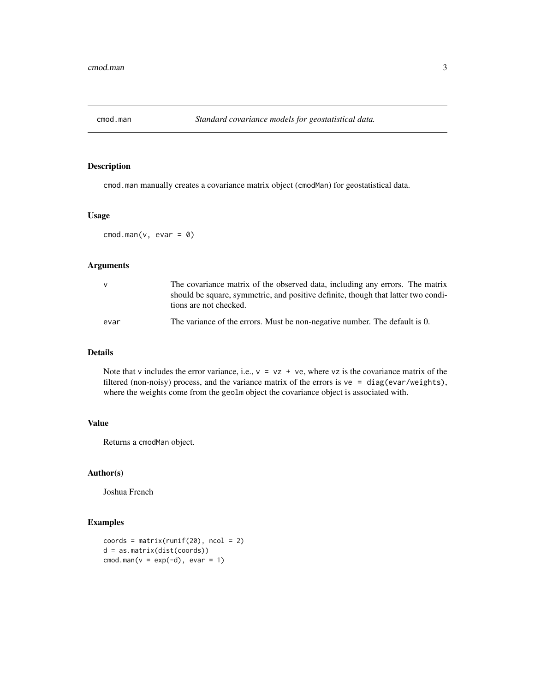<span id="page-2-0"></span>

cmod.man manually creates a covariance matrix object (cmodMan) for geostatistical data.

#### Usage

 $\text{cmod}.\text{man}(v, \text{evar} = 0)$ 

## Arguments

| v    | The covariance matrix of the observed data, including any errors. The matrix<br>should be square, symmetric, and positive definite, though that latter two condi-<br>tions are not checked. |
|------|---------------------------------------------------------------------------------------------------------------------------------------------------------------------------------------------|
| evar | The variance of the errors. Must be non-negative number. The default is 0.                                                                                                                  |

#### Details

Note that v includes the error variance, i.e.,  $v = vz + ve$ , where vz is the covariance matrix of the filtered (non-noisy) process, and the variance matrix of the errors is  $ve = diag(evar/weights)$ , where the weights come from the geolm object the covariance object is associated with.

## Value

Returns a cmodMan object.

## Author(s)

Joshua French

```
coordinates = matrix(runif(20), ncol = 2)d = as.matrix(dist(coords))
cmod.man(v = exp(-d), evar = 1)
```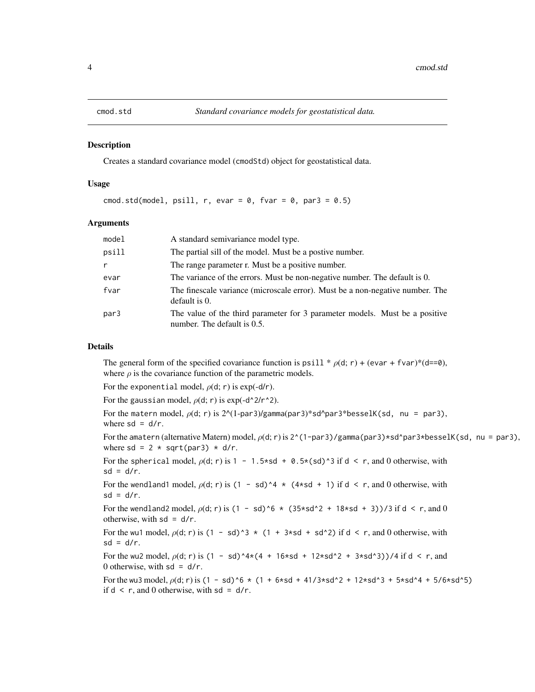<span id="page-3-1"></span><span id="page-3-0"></span>

Creates a standard covariance model (cmodStd) object for geostatistical data.

#### Usage

cmod.std(model, psill, r, evar =  $0$ , fvar =  $0$ , par3 =  $0.5$ )

#### Arguments

| model        | A standard semivariance model type.                                                                        |
|--------------|------------------------------------------------------------------------------------------------------------|
| psill        | The partial sill of the model. Must be a postive number.                                                   |
| $\mathsf{r}$ | The range parameter r. Must be a positive number.                                                          |
| evar         | The variance of the errors. Must be non-negative number. The default is 0.                                 |
| fvar         | The finescale variance (microscale error). Must be a non-negative number. The<br>default is 0.             |
| par3         | The value of the third parameter for 3 parameter models. Must be a positive<br>number. The default is 0.5. |

## Details

The general form of the specified covariance function is psill  $* \rho(d; r) + (e \nu a r + f \nu a r)^*(d == 0)$ , where  $\rho$  is the covariance function of the parametric models.

For the exponential model,  $\rho(d; r)$  is exp(-d/r).

For the gaussian model,  $\rho(d; r)$  is exp(-d^2/r^2).

For the matern model,  $\rho(d; r)$  is  $2^{\wedge}(1-par3)/\gamma$ gamma(par3)\*sd^par3\*besselK(sd, nu = par3), where  $sd = d/r$ .

For the amatern (alternative Matern) model,  $\rho(d; r)$  is  $2^{\wedge}(1-par3)/gamma$  mma(par3)\*sd^par3\*besselK(sd, nu = par3), where sd =  $2 * sqrt(par3) * d/r$ .

For the spherical model,  $\rho$ (d; r) is 1 - 1.5\*sd + 0.5\*(sd)^3 if d < r, and 0 otherwise, with  $sd = d/r$ .

For the wendland1 model,  $\rho$ (d; r) is (1 - sd)^4 \* (4\*sd + 1) if d < r, and 0 otherwise, with  $sd = d/r$ .

For the wendland2 model,  $\rho$ (d; r) is (1 - sd)^6  $\star$  (35\*sd^2 + 18\*sd + 3))/3 if d < r, and 0 otherwise, with  $sd = d/r$ .

For the wu1 model,  $\rho$ (d; r) is (1 - sd)^3 \* (1 + 3\*sd + sd^2) if d < r, and 0 otherwise, with  $sd = d/r$ .

For the wu2 model,  $\rho$ (d; r) is  $(1 - sd)^{4*}(4 + 16*sd + 12*sd^2 + 3*sd^3)$ /4 if d < r, and 0 otherwise, with  $sd = d/r$ .

For the wu3 model,  $\rho$ (d; r) is (1 - sd)^6 \* (1 + 6\*sd + 41/3\*sd^2 + 12\*sd^3 + 5\*sd^4 + 5/6\*sd^5) if  $d < r$ , and 0 otherwise, with  $sd = d/r$ .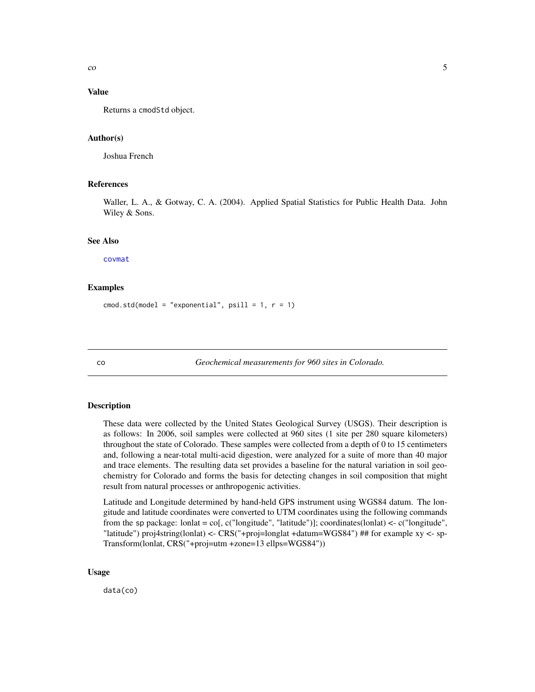<span id="page-4-0"></span> $\sim$  5

#### Value

Returns a cmodStd object.

#### Author(s)

Joshua French

#### References

Waller, L. A., & Gotway, C. A. (2004). Applied Spatial Statistics for Public Health Data. John Wiley & Sons.

#### See Also

[covmat](#page-0-0)

#### Examples

cmod.std(model = "exponential",  $psi11 = 1, r = 1$ )

co *Geochemical measurements for 960 sites in Colorado.*

#### Description

These data were collected by the United States Geological Survey (USGS). Their description is as follows: In 2006, soil samples were collected at 960 sites (1 site per 280 square kilometers) throughout the state of Colorado. These samples were collected from a depth of 0 to 15 centimeters and, following a near-total multi-acid digestion, were analyzed for a suite of more than 40 major and trace elements. The resulting data set provides a baseline for the natural variation in soil geochemistry for Colorado and forms the basis for detecting changes in soil composition that might result from natural processes or anthropogenic activities.

Latitude and Longitude determined by hand-held GPS instrument using WGS84 datum. The longitude and latitude coordinates were converted to UTM coordinates using the following commands from the sp package: lonlat = co[, c("longitude", "latitude")]; coordinates(lonlat) <- c("longitude", "latitude") proj4string(lonlat) <- CRS("+proj=longlat +datum=WGS84") ## for example xy <- sp-Transform(lonlat, CRS("+proj=utm +zone=13 ellps=WGS84"))

#### Usage

data(co)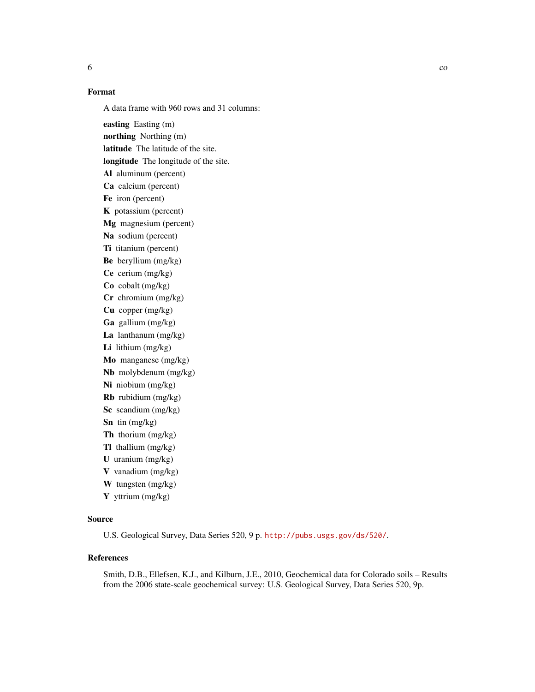## Format

A data frame with 960 rows and 31 columns:

easting Easting (m) northing Northing (m) latitude The latitude of the site. longitude The longitude of the site. Al aluminum (percent) Ca calcium (percent) Fe iron (percent) K potassium (percent) Mg magnesium (percent) Na sodium (percent) Ti titanium (percent) Be beryllium (mg/kg) Ce cerium (mg/kg) Co cobalt (mg/kg) Cr chromium (mg/kg) Cu copper (mg/kg) Ga gallium (mg/kg) La lanthanum (mg/kg) Li lithium (mg/kg) Mo manganese (mg/kg) Nb molybdenum (mg/kg) Ni niobium (mg/kg) Rb rubidium (mg/kg) Sc scandium (mg/kg) Sn tin (mg/kg) Th thorium (mg/kg) Tl thallium (mg/kg) U uranium (mg/kg) V vanadium (mg/kg) W tungsten (mg/kg) Y yttrium (mg/kg)

## Source

U.S. Geological Survey, Data Series 520, 9 p. <http://pubs.usgs.gov/ds/520/>.

## References

Smith, D.B., Ellefsen, K.J., and Kilburn, J.E., 2010, Geochemical data for Colorado soils – Results from the 2006 state-scale geochemical survey: U.S. Geological Survey, Data Series 520, 9p.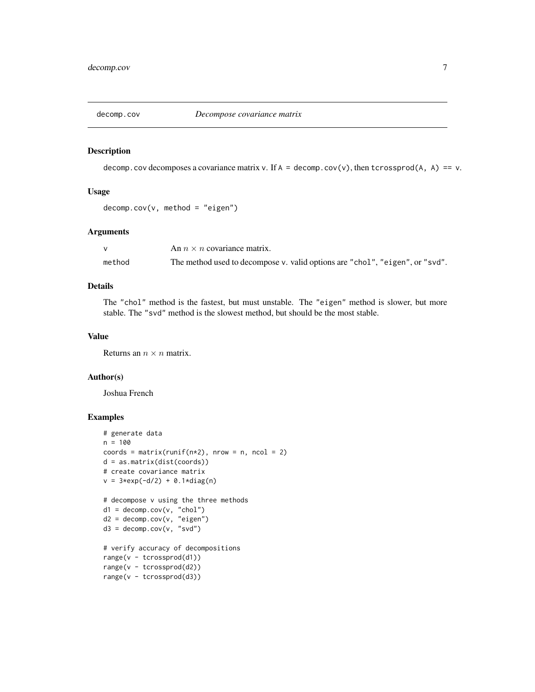<span id="page-6-0"></span>

decomp.cov decomposes a covariance matrix v. If  $A = \text{decomp.cov}(v)$ , then tcrossprod $(A, A) == v$ .

#### Usage

 $decomp.cov(v, method = "eigen")$ 

## Arguments

|        | An $n \times n$ covariance matrix.                                           |
|--------|------------------------------------------------------------------------------|
| method | The method used to decompose v. valid options are "chol", "eigen", or "svd". |

## Details

The "chol" method is the fastest, but must unstable. The "eigen" method is slower, but more stable. The "svd" method is the slowest method, but should be the most stable.

## Value

Returns an  $n \times n$  matrix.

#### Author(s)

Joshua French

```
# generate data
n = 100coords = matrix(runif(n*2), nrow = n, ncol = 2)
d = as.matrix(dist(coords))
# create covariance matrix
v = 3*exp(-d/2) + 0.1*diag(n)# decompose v using the three methods
d1 = decomp.cov(v, "chol")d2 = decomp.cov(v, "eigen")
d3 = decomp.cov(v, "svd")# verify accuracy of decompositions
range(v - tcrossprod(d1))
range(v - tcrossprod(d2))
range(v - tcrossprod(d3))
```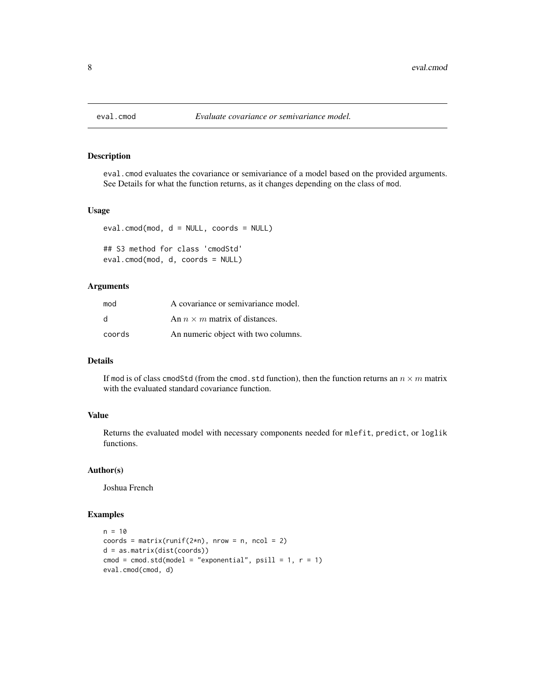<span id="page-7-0"></span>

eval.cmod evaluates the covariance or semivariance of a model based on the provided arguments. See Details for what the function returns, as it changes depending on the class of mod.

## Usage

```
eval.comod(mod, d = NULL, coords = NULL)## S3 method for class 'cmodStd'
eval.cmod(mod, d, coords = NULL)
```
#### Arguments

| mod          | A covariance or semivariance model.  |
|--------------|--------------------------------------|
| <sub>d</sub> | An $n \times m$ matrix of distances. |
| coords       | An numeric object with two columns.  |

## Details

If mod is of class cmodStd (from the cmod.std function), then the function returns an  $n \times m$  matrix with the evaluated standard covariance function.

## Value

Returns the evaluated model with necessary components needed for mlefit, predict, or loglik functions.

## Author(s)

Joshua French

```
n = 10coords = matrix(runif(2*n), nrow = n, ncol = 2)
d = as.matrix(dist(coords))
cmod = cmod.std(model = "exponential", psi = 1, r = 1)
eval.cmod(cmod, d)
```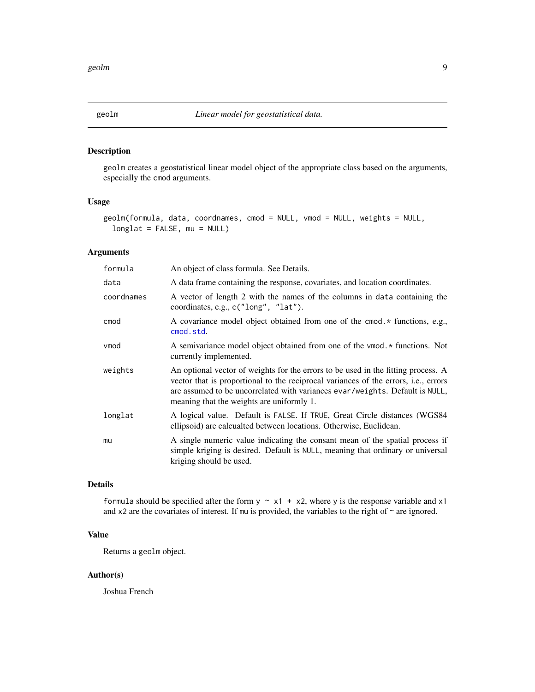<span id="page-8-0"></span>

geolm creates a geostatistical linear model object of the appropriate class based on the arguments, especially the cmod arguments.

## Usage

```
geolm(formula, data, coordnames, cmod = NULL, vmod = NULL, weights = NULL,
  longlat = FALSE, mu = NULL)
```
## Arguments

| formula    | An object of class formula. See Details.                                                                                                                                                                                                                                                                      |
|------------|---------------------------------------------------------------------------------------------------------------------------------------------------------------------------------------------------------------------------------------------------------------------------------------------------------------|
| data       | A data frame containing the response, covariates, and location coordinates.                                                                                                                                                                                                                                   |
| coordnames | A vector of length 2 with the names of the columns in data containing the<br>coordinates, e.g., c("long", "lat").                                                                                                                                                                                             |
| cmod       | A covariance model object obtained from one of the cmod.* functions, e.g.,<br>cmod.std.                                                                                                                                                                                                                       |
| vmod       | A semivariance model object obtained from one of the vmod. * functions. Not<br>currently implemented.                                                                                                                                                                                                         |
| weights    | An optional vector of weights for the errors to be used in the fitting process. A<br>vector that is proportional to the reciprocal variances of the errors, <i>i.e.</i> , errors<br>are assumed to be uncorrelated with variances evar/weights. Default is NULL,<br>meaning that the weights are uniformly 1. |
| longlat    | A logical value. Default is FALSE. If TRUE, Great Circle distances (WGS84<br>ellipsoid) are calcualted between locations. Otherwise, Euclidean.                                                                                                                                                               |
| mu         | A single numeric value indicating the consant mean of the spatial process if<br>simple kriging is desired. Default is NULL, meaning that ordinary or universal<br>kriging should be used.                                                                                                                     |

## Details

formula should be specified after the form  $y \sim x1 + x2$ , where y is the response variable and x1 and x2 are the covariates of interest. If mu is provided, the variables to the right of  $\sim$  are ignored.

## Value

Returns a geolm object.

## Author(s)

Joshua French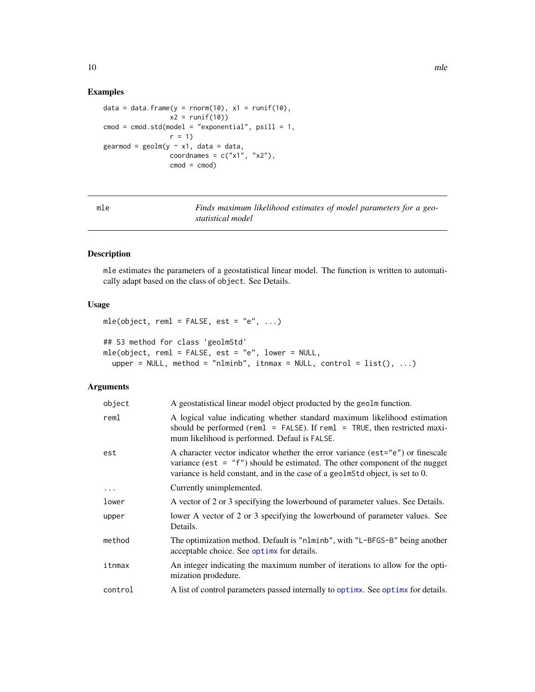## Examples

```
data = data.frame(y = rnorm(10), x1 = runif(10),
                  x2 = runif(10)cmod = cmod.std(model = "exponential", psill = 1,
                  r = 1gearmod = geolm(y \sim x1, data = data,
                  coordnames = c("x1", "x2"),
                  \text{cmod} = \text{cmod})
```
mle *Finds maximum likelihood estimates of model parameters for a geostatistical model*

## Description

mle estimates the parameters of a geostatistical linear model. The function is written to automatically adapt based on the class of object. See Details.

## Usage

```
mle(object, reml = FALSE, est = "e", ...)## S3 method for class 'geolmStd'
mle(object, reml = FALSE, est = "e", lower = NULL,
  upper = NULL, method = "nlminb", itnmax = NULL, control = list(), ...)
```
#### Arguments

| object  | A geostatistical linear model object producted by the geolm function.                                                                                                                                                                             |
|---------|---------------------------------------------------------------------------------------------------------------------------------------------------------------------------------------------------------------------------------------------------|
| reml    | A logical value indicating whether standard maximum likelihood estimation<br>should be performed (reml = FALSE). If reml = TRUE, then restricted maxi-<br>mum likelihood is performed. Defaul is FALSE.                                           |
| est     | A character vector indicator whether the error variance (est="e") or finescale<br>variance (est = $"f"$ ) should be estimated. The other component of the nugget<br>variance is held constant, and in the case of a geolmStd object, is set to 0. |
| .       | Currently unimplemented.                                                                                                                                                                                                                          |
| lower   | A vector of 2 or 3 specifying the lowerbound of parameter values. See Details.                                                                                                                                                                    |
| upper   | lower A vector of 2 or 3 specifying the lowerbound of parameter values. See<br>Details.                                                                                                                                                           |
| method  | The optimization method. Default is "nlminb", with "L-BFGS-B" being another<br>acceptable choice. See optimx for details.                                                                                                                         |
| itnmax  | An integer indicating the maximum number of iterations to allow for the opti-<br>mization prodedure.                                                                                                                                              |
| control | A list of control parameters passed internally to optimx. See optimx for details.                                                                                                                                                                 |

<span id="page-9-0"></span>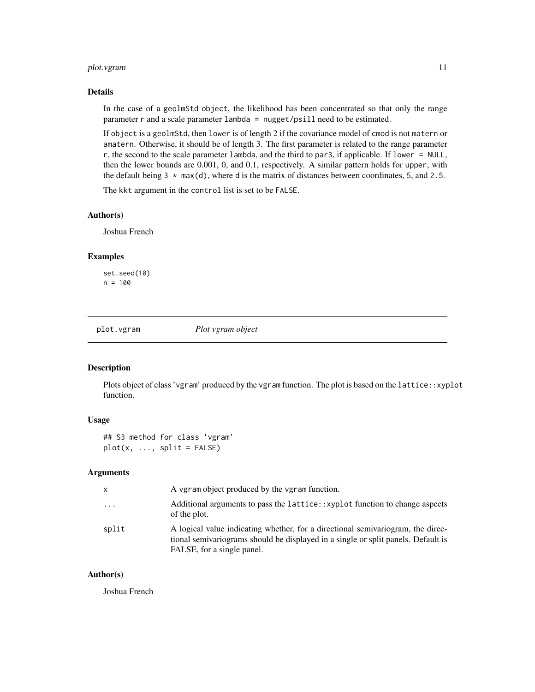## <span id="page-10-0"></span>plot.vgram 11

## Details

In the case of a geolmStd object, the likelihood has been concentrated so that only the range parameter r and a scale parameter lambda = nugget/psill need to be estimated.

If object is a geolmStd, then lower is of length 2 if the covariance model of cmod is not matern or amatern. Otherwise, it should be of length 3. The first parameter is related to the range parameter r, the second to the scale parameter lambda, and the third to par3, if applicable. If lower = NULL, then the lower bounds are 0.001, 0, and 0.1, respectively. A similar pattern holds for upper, with the default being  $3 \times \text{max}(d)$ , where d is the matrix of distances between coordinates, 5, and 2.5.

The kkt argument in the control list is set to be FALSE.

#### Author(s)

Joshua French

## Examples

set.seed(10) n = 100

plot.vgram *Plot vgram object*

#### Description

Plots object of class 'vgram' produced by the vgram function. The plot is based on the lattice::xyplot function.

#### Usage

## S3 method for class 'vgram'  $plot(x, ..., split = FALSE)$ 

#### Arguments

| x        | A vgram object produced by the vgram function.                                                                                                                                                     |
|----------|----------------------------------------------------------------------------------------------------------------------------------------------------------------------------------------------------|
| $\cdots$ | Additional arguments to pass the lattice: : xyplot function to change aspects<br>of the plot.                                                                                                      |
| split    | A logical value indicating whether, for a directional semivariogram, the direc-<br>tional semivariograms should be displayed in a single or split panels. Default is<br>FALSE, for a single panel. |

#### Author(s)

Joshua French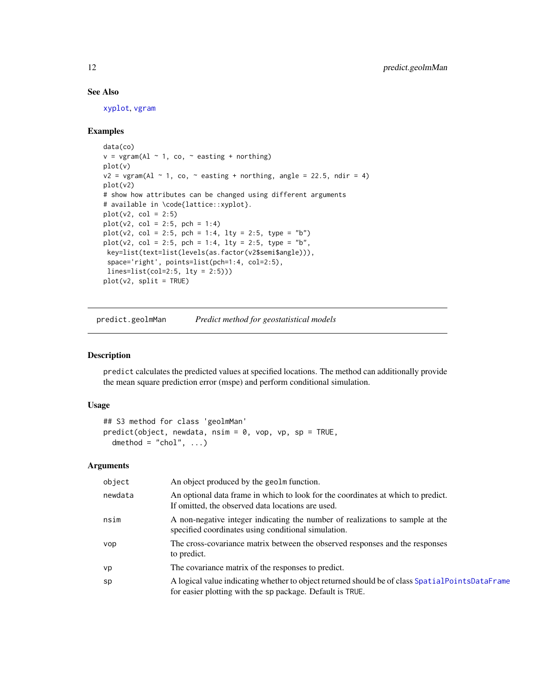## See Also

[xyplot](#page-0-0), [vgram](#page-16-1)

## Examples

```
data(co)
v = vgram(Al ~ 1, co, ~ 2 easting + northing)
plot(v)
v2 = vgram(Al \sim 1, co, \sim easting + northing, angle = 22.5, ndir = 4)plot(v2)
# show how attributes can be changed using different arguments
# available in \code{lattice::xyplot}.
plot(v2, col = 2:5)plot(v2, col = 2:5, pch = 1:4)plot(v2, col = 2:5, pch = 1:4, lty = 2:5, type = "b")plot(v2, col = 2:5, pch = 1:4, lty = 2:5, type = "b",key=list(text=list(levels(as.factor(v2$semi$angle))),
 space='right', points=list(pch=1:4, col=2:5),
 lines=list(col=2:5, lty = 2:5)))
plot(v2, split = TRUE)
```
predict.geolmMan *Predict method for geostatistical models*

## Description

predict calculates the predicted values at specified locations. The method can additionally provide the mean square prediction error (mspe) and perform conditional simulation.

#### Usage

```
## S3 method for class 'geolmMan'
predict(object, new data, nsim = 0, vop, vp = TRUE,dmethod = "chol", \dots)
```
#### Arguments

| object  | An object produced by the geolm function.                                                                                                                    |
|---------|--------------------------------------------------------------------------------------------------------------------------------------------------------------|
| newdata | An optional data frame in which to look for the coordinates at which to predict.<br>If omitted, the observed data locations are used.                        |
| nsim    | A non-negative integer indicating the number of realizations to sample at the<br>specified coordinates using conditional simulation.                         |
| vop     | The cross-covariance matrix between the observed responses and the responses<br>to predict.                                                                  |
| vp      | The covariance matrix of the responses to predict.                                                                                                           |
| sp      | A logical value indicating whether to object returned should be of class SpatialPointsDataFrame<br>for easier plotting with the sp package. Default is TRUE. |

<span id="page-11-0"></span>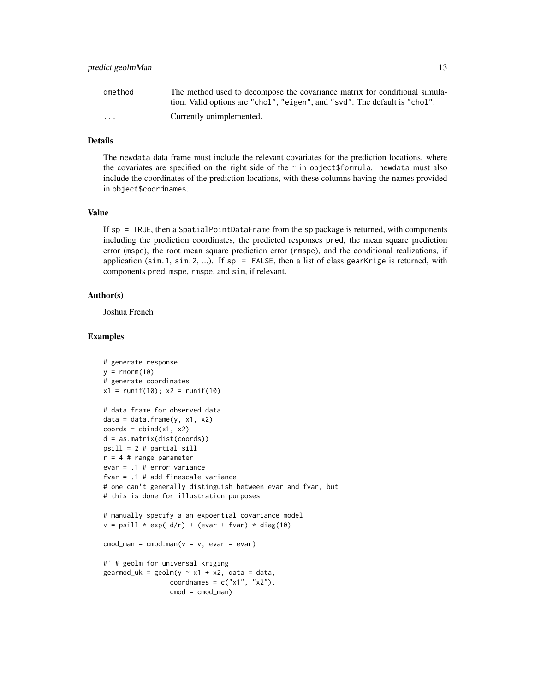| dmethod                 | The method used to decompose the covariance matrix for conditional simula- |
|-------------------------|----------------------------------------------------------------------------|
|                         | tion. Valid options are "chol", "eigen", and "svd". The default is "chol". |
| $\cdot$ $\cdot$ $\cdot$ | Currently unimplemented.                                                   |

#### Details

The newdata data frame must include the relevant covariates for the prediction locations, where the covariates are specified on the right side of the  $\sim$  in object \$formula. newdata must also include the coordinates of the prediction locations, with these columns having the names provided in object\$coordnames.

#### Value

If sp = TRUE, then a SpatialPointDataFrame from the sp package is returned, with components including the prediction coordinates, the predicted responses pred, the mean square prediction error (mspe), the root mean square prediction error (rmspe), and the conditional realizations, if application (sim.1, sim.2, ...). If sp = FALSE, then a list of class gearKrige is returned, with components pred, mspe, rmspe, and sim, if relevant.

#### Author(s)

Joshua French

```
# generate response
y = rnorm(10)# generate coordinates
x1 = runif(10); x2 = runif(10)# data frame for observed data
data = data.frame(y, x1, x2)coords = chind(x1, x2)d = as.matrix(dist(coords))
psill = 2 # partial sill
r = 4 # range parameter
evar = .1 # error variance
fvar = .1 # add finescale variance
# one can't generally distinguish between evar and fvar, but
# this is done for illustration purposes
# manually specify a an expoential covariance model
v = psill * exp(-d/r) + (evar + fvar) * diag(10)\text{cmod\_man} = \text{cmod}.\text{man}(v = v, \text{ evar} = \text{evar})#' # geolm for universal kriging
\text{germod\_uk} = \text{geolm}(y \sim x1 + x2, \text{ data} = \text{data},coordnames = c("x1", "x2"),
                   \text{cmod} = \text{cmod\_man})
```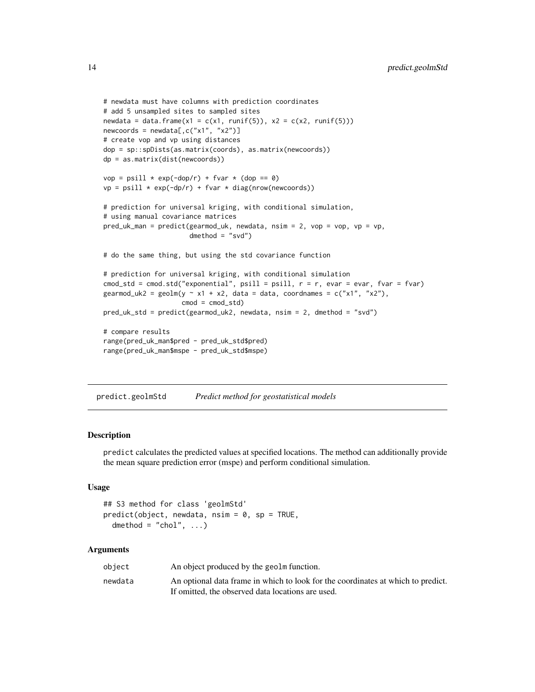```
# newdata must have columns with prediction coordinates
# add 5 unsampled sites to sampled sites
newdata = data.frame(x1 = c(x1, runif(5)), x2 = c(x2, runif(5)))
newcoordinates = newdata[, c("x1", "x2")# create vop and vp using distances
dop = sp::spDists(as.matrix(coords), as.matrix(newcoords))
dp = as.matrix(dist(newcoords))
vop = psill * exp(-dop/r) + fvar * (dop == 0)vp = psill * exp(-dp/r) + fvar * diag(nrow(newcoords))# prediction for universal kriging, with conditional simulation,
# using manual covariance matrices
pred_uk_man = predict(gearmod_uk, newdata, nsim = 2, vop = vop, vp = vp,
                      dmethod = "svd")
# do the same thing, but using the std covariance function
# prediction for universal kriging, with conditional simulation
cmod_std = cmod.std("exponential", psill = psill, r = r, evar = evar, fvar = fvar)
gearmod_uk2 = geolm(y \sim x1 + x2, data = data, coordinates = c("x1", "x2"),\text{cmod} = \text{cmod}_\text{std}pred_uk_std = predict(gearmod_uk2, newdata, nsim = 2, dmethod = "svd")
# compare results
range(pred_uk_man$pred - pred_uk_std$pred)
range(pred_uk_man$mspe - pred_uk_std$mspe)
```
predict.geolmStd *Predict method for geostatistical models*

#### **Description**

predict calculates the predicted values at specified locations. The method can additionally provide the mean square prediction error (mspe) and perform conditional simulation.

## Usage

```
## S3 method for class 'geolmStd'
predict(object, new data, nsim = 0, sp = TRUE,dmethod = "chol", ...)
```
#### **Arguments**

| object  | An object produced by the geolm function.                                        |
|---------|----------------------------------------------------------------------------------|
| newdata | An optional data frame in which to look for the coordinates at which to predict. |
|         | If omitted, the observed data locations are used.                                |

<span id="page-13-0"></span>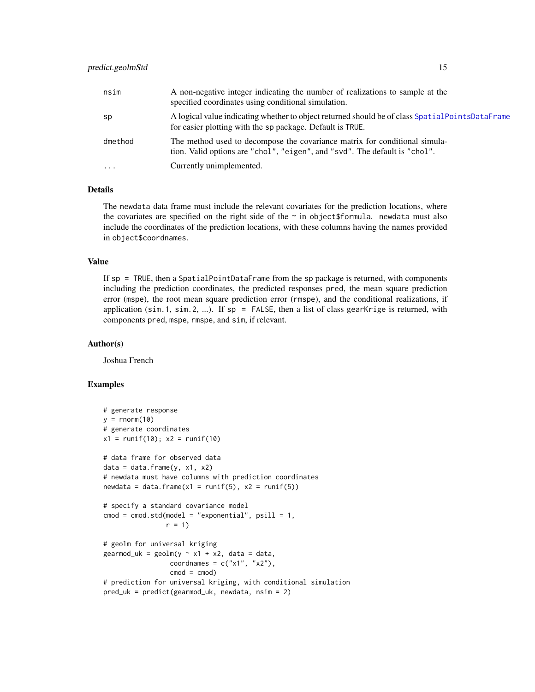<span id="page-14-0"></span>

| nsim     | A non-negative integer indicating the number of realizations to sample at the<br>specified coordinates using conditional simulation.                         |
|----------|--------------------------------------------------------------------------------------------------------------------------------------------------------------|
| sp       | A logical value indicating whether to object returned should be of class SpatialPointsDataFrame<br>for easier plotting with the sp package. Default is TRUE. |
| dmethod  | The method used to decompose the covariance matrix for conditional simula-<br>tion. Valid options are "chol", "eigen", and "svd". The default is "chol".     |
| $\cdots$ | Currently unimplemented.                                                                                                                                     |

## **Details**

The newdata data frame must include the relevant covariates for the prediction locations, where the covariates are specified on the right side of the  $\sim$  in object \$formula. newdata must also include the coordinates of the prediction locations, with these columns having the names provided in object\$coordnames.

## Value

If sp = TRUE, then a SpatialPointDataFrame from the sp package is returned, with components including the prediction coordinates, the predicted responses pred, the mean square prediction error (mspe), the root mean square prediction error (rmspe), and the conditional realizations, if application (sim.1, sim.2, ...). If  $sp = FALSE$ , then a list of class gearKrige is returned, with components pred, mspe, rmspe, and sim, if relevant.

#### Author(s)

Joshua French

```
# generate response
y = rnorm(10)# generate coordinates
x1 = runif(10); x2 = runif(10)# data frame for observed data
data = data-frame(y, x1, x2)# newdata must have columns with prediction coordinates
newdata = data.frame(x1 = runif(5), x2 = runif(5))
# specify a standard covariance model
\text{cmod} = \text{cmod}.\text{std}(\text{model} = \text{"exponential", psill = 1},r = 1# geolm for universal kriging
gearmod_uk = geolm(y \sim x1 + x2, data = data,coordnames = c("x1", "x2"),
                  \text{cmod} = \text{cmod})
# prediction for universal kriging, with conditional simulation
pred_uk = predict(gearmod_uk, newdata, nsim = 2)
```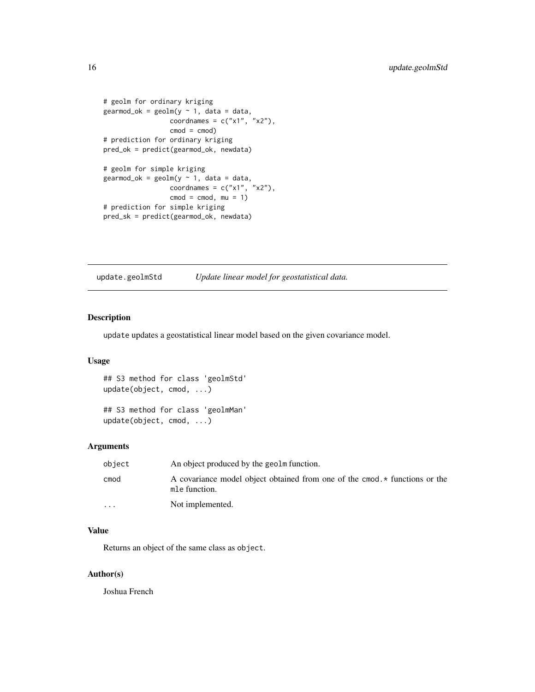```
# geolm for ordinary kriging
gearmod_ok = geolm(y \sim 1, data = data,coordnames = c("x1", "x2"),\text{cmod} = \text{cmod})
# prediction for ordinary kriging
pred_ok = predict(gearmod_ok, newdata)
# geolm for simple kriging
\text{germod\_ok} = \text{geolm}(y \sim 1, \text{ data} = \text{data},coordnames = c("x1", "x2"),\text{cmod} = \text{cmod}, \text{mu} = 1# prediction for simple kriging
pred_sk = predict(gearmod_ok, newdata)
```
update.geolmStd *Update linear model for geostatistical data.*

## Description

update updates a geostatistical linear model based on the given covariance model.

## Usage

```
## S3 method for class 'geolmStd'
update(object, cmod, ...)
```
## S3 method for class 'geolmMan' update(object, cmod, ...)

## Arguments

| object    | An object produced by the geolm function.                                                    |
|-----------|----------------------------------------------------------------------------------------------|
| cmod      | A covariance model object obtained from one of the cmod. * functions or the<br>mle function. |
| $\ddotsc$ | Not implemented.                                                                             |

#### Value

Returns an object of the same class as object.

#### Author(s)

Joshua French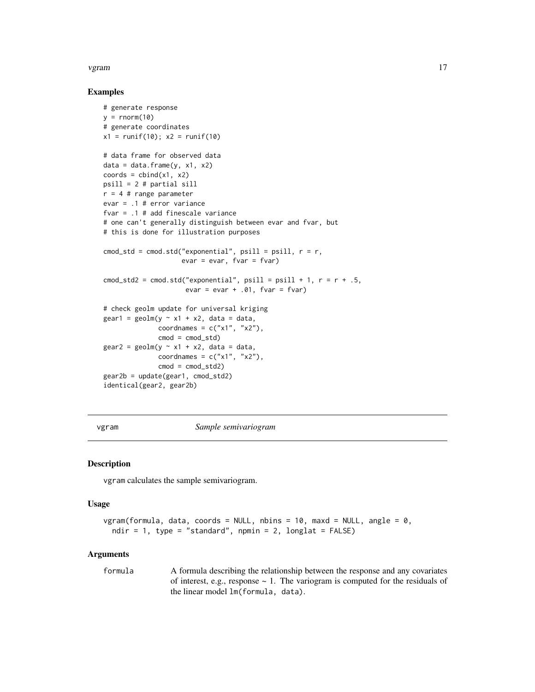#### <span id="page-16-0"></span>vgram til 17

#### Examples

```
# generate response
y = rnorm(10)# generate coordinates
x1 = runif(10); x2 = runif(10)# data frame for observed data
data = data-frame(y, x1, x2)coords = chind(x1, x2)psill = 2 # partial sill
r = 4 # range parameter
evar = .1 # error variance
fvar = .1 # add finescale variance
# one can't generally distinguish between evar and fvar, but
# this is done for illustration purposes
\text{cmod}_\text{std} = \text{cmod}_\text{std} "exponential", psill = psill, r = r,
                       evar = evar, fvar = fvar)
cmod_std2 = cmod.std("exponential", psill = psill + 1, r = r + .5,
                        evar = evar + .01, fvar = fvar)
# check geolm update for universal kriging
\text{gen1} = \text{geolm}(y \sim x1 + x2, \text{ data} = \text{data},coordnames = c("x1", "x2"),
                \text{cmod} = \text{cmod}_\text{std}\text{year2} = \text{geom}(y \sim x1 + x2, \text{ data} = \text{data},coordnames = c("x1", "x2"),
                \text{cmod} = \text{cmod}_\text{std2}gear2b = update(gear1, cmod_std2)
identical(gear2, gear2b)
```
<span id="page-16-1"></span>vgram *Sample semivariogram*

#### Description

vgram calculates the sample semivariogram.

## Usage

```
vgram(formula, data, coords = NULL, nbins = 10, maxd = NULL, angle = 0,
  ndir = 1, type = "standard", npmin = 2, longlat = FALSE)
```
#### Arguments

formula A formula describing the relationship between the response and any covariates of interest, e.g., response  $\sim$  1. The variogram is computed for the residuals of the linear model lm(formula, data).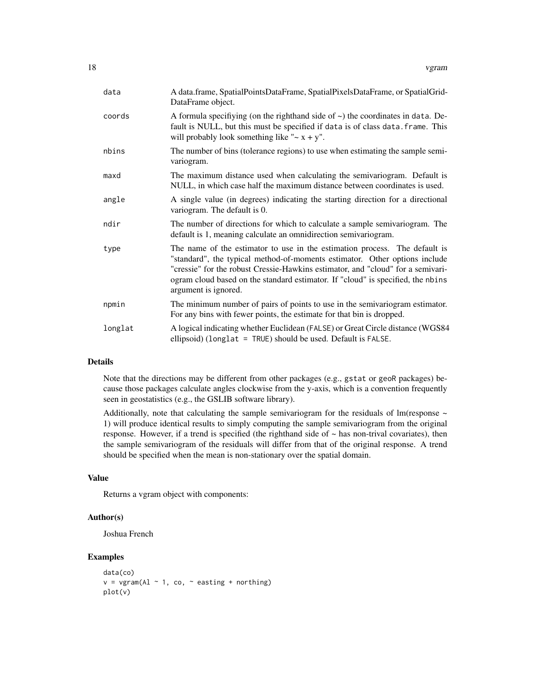| data    | A data.frame, SpatialPointsDataFrame, SpatialPixelsDataFrame, or SpatialGrid-<br>DataFrame object.                                                                                                                                                                                                                                                     |
|---------|--------------------------------------------------------------------------------------------------------------------------------------------------------------------------------------------------------------------------------------------------------------------------------------------------------------------------------------------------------|
| coords  | A formula specifiving (on the righthand side of $\sim$ ) the coordinates in data. De-<br>fault is NULL, but this must be specified if data is of class data. frame. This<br>will probably look something like " $\sim x + y$ ".                                                                                                                        |
| nbins   | The number of bins (tolerance regions) to use when estimating the sample semi-<br>variogram.                                                                                                                                                                                                                                                           |
| maxd    | The maximum distance used when calculating the semivariogram. Default is<br>NULL, in which case half the maximum distance between coordinates is used.                                                                                                                                                                                                 |
| angle   | A single value (in degrees) indicating the starting direction for a directional<br>variogram. The default is 0.                                                                                                                                                                                                                                        |
| ndir    | The number of directions for which to calculate a sample semivariogram. The<br>default is 1, meaning calculate an omnidirection semivariogram.                                                                                                                                                                                                         |
| type    | The name of the estimator to use in the estimation process. The default is<br>"standard", the typical method-of-moments estimator. Other options include<br>"cressie" for the robust Cressie-Hawkins estimator, and "cloud" for a semivari-<br>ogram cloud based on the standard estimator. If "cloud" is specified, the nbins<br>argument is ignored. |
| npmin   | The minimum number of pairs of points to use in the semivariogram estimator.<br>For any bins with fewer points, the estimate for that bin is dropped.                                                                                                                                                                                                  |
| longlat | A logical indicating whether Euclidean (FALSE) or Great Circle distance (WGS84<br>ellipsoid) (longlat = TRUE) should be used. Default is FALSE.                                                                                                                                                                                                        |

#### Details

Note that the directions may be different from other packages (e.g., gstat or geoR packages) because those packages calculate angles clockwise from the y-axis, which is a convention frequently seen in geostatistics (e.g., the GSLIB software library).

Additionally, note that calculating the sample semivariogram for the residuals of lm(response  $\sim$ 1) will produce identical results to simply computing the sample semivariogram from the original response. However, if a trend is specified (the righthand side of  $\sim$  has non-trival covariates), then the sample semivariogram of the residuals will differ from that of the original response. A trend should be specified when the mean is non-stationary over the spatial domain.

## Value

Returns a vgram object with components:

#### Author(s)

Joshua French

```
data(co)
v = vgram(Al ~ 1, co, ~ 2, easting + northing)plot(v)
```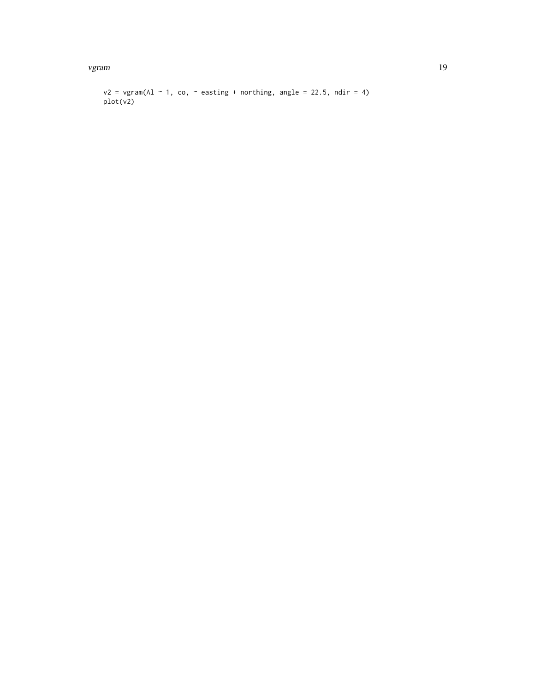vgram til 19

```
v2 = vgram(Al ~ 1, co, ~ ~ easting + northing, angle = 22.5, ndir = 4)plot(v2)
```